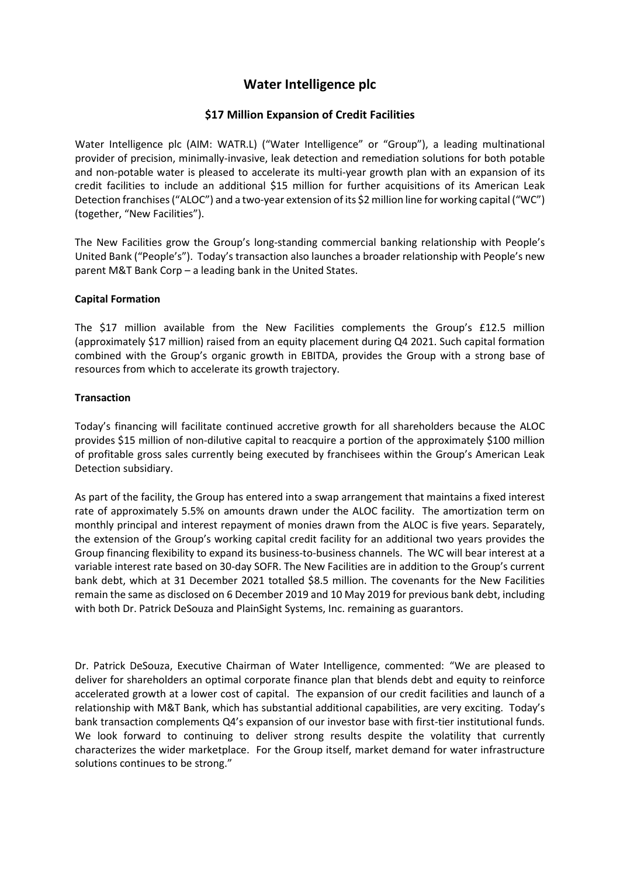## **Water Intelligence plc**

## **\$17 Million Expansion of Credit Facilities**

Water Intelligence plc (AIM: WATR.L) ("Water Intelligence" or "Group"), a leading multinational provider of precision, minimally-invasive, leak detection and remediation solutions for both potable and non-potable water is pleased to accelerate its multi-year growth plan with an expansion of its credit facilities to include an additional \$15 million for further acquisitions of its American Leak Detection franchises("ALOC") and a two-year extension of its \$2 million line for working capital ("WC") (together, "New Facilities").

The New Facilities grow the Group's long-standing commercial banking relationship with People's United Bank ("People's"). Today's transaction also launches a broader relationship with People's new parent M&T Bank Corp – a leading bank in the United States.

## **Capital Formation**

The \$17 million available from the New Facilities complements the Group's £12.5 million (approximately \$17 million) raised from an equity placement during Q4 2021. Such capital formation combined with the Group's organic growth in EBITDA, provides the Group with a strong base of resources from which to accelerate its growth trajectory.

## **Transaction**

Today's financing will facilitate continued accretive growth for all shareholders because the ALOC provides \$15 million of non-dilutive capital to reacquire a portion of the approximately \$100 million of profitable gross sales currently being executed by franchisees within the Group's American Leak Detection subsidiary.

As part of the facility, the Group has entered into a swap arrangement that maintains a fixed interest rate of approximately 5.5% on amounts drawn under the ALOC facility. The amortization term on monthly principal and interest repayment of monies drawn from the ALOC is five years. Separately, the extension of the Group's working capital credit facility for an additional two years provides the Group financing flexibility to expand its business-to-business channels. The WC will bear interest at a variable interest rate based on 30-day SOFR. The New Facilities are in addition to the Group's current bank debt, which at 31 December 2021 totalled \$8.5 million. The covenants for the New Facilities remain the same as disclosed on 6 December 2019 and 10 May 2019 for previous bank debt, including with both Dr. Patrick DeSouza and PlainSight Systems, Inc. remaining as guarantors.

Dr. Patrick DeSouza, Executive Chairman of Water Intelligence, commented: "We are pleased to deliver for shareholders an optimal corporate finance plan that blends debt and equity to reinforce accelerated growth at a lower cost of capital. The expansion of our credit facilities and launch of a relationship with M&T Bank, which has substantial additional capabilities, are very exciting. Today's bank transaction complements Q4's expansion of our investor base with first-tier institutional funds. We look forward to continuing to deliver strong results despite the volatility that currently characterizes the wider marketplace. For the Group itself, market demand for water infrastructure solutions continues to be strong."